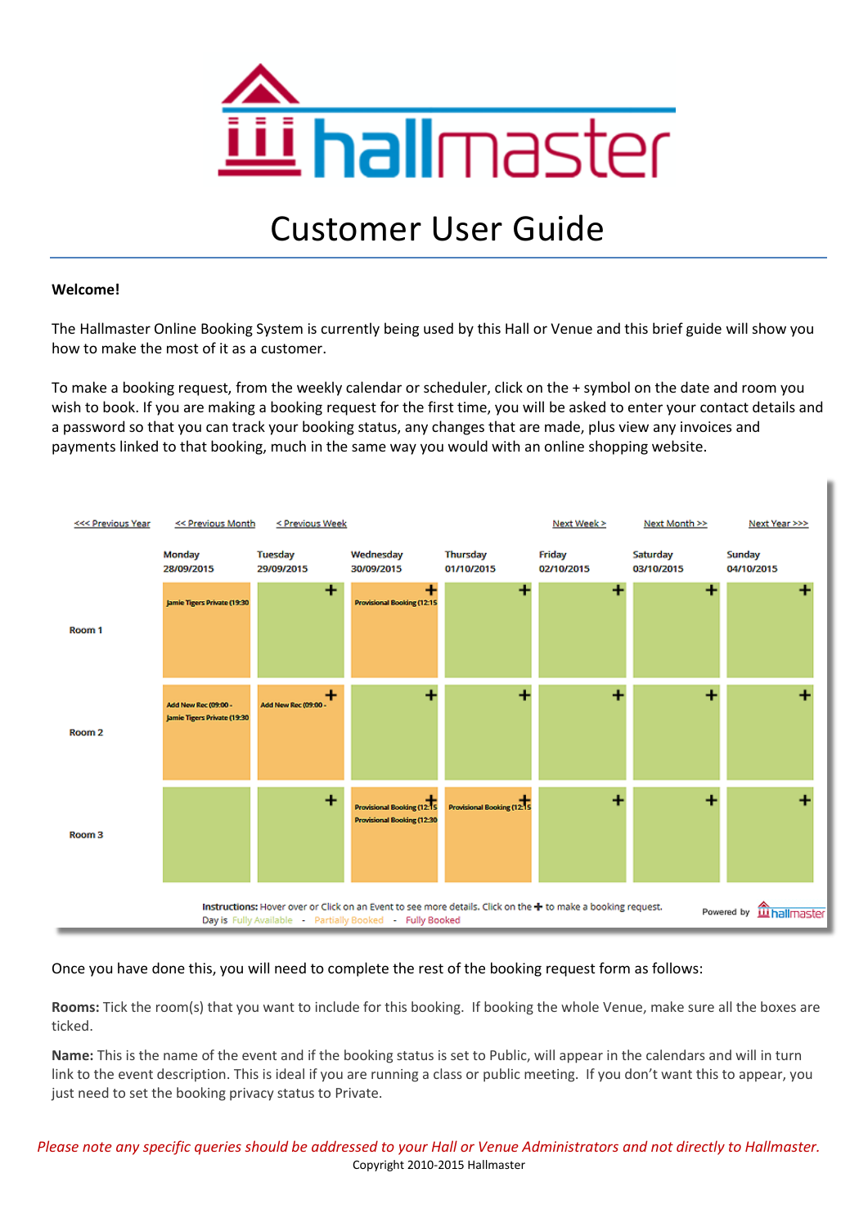

# Customer User Guide

## **Welcome!**

The Hallmaster Online Booking System is currently being used by this Hall or Venue and this brief guide will show you how to make the most of it as a customer.

To make a booking request, from the weekly calendar or scheduler, click on the + symbol on the date and room you wish to book. If you are making a booking request for the first time, you will be asked to enter your contact details and a password so that you can track your booking status, any changes that are made, plus view any invoices and payments linked to that booking, much in the same way you would with an online shopping website.



Once you have done this, you will need to complete the rest of the booking request form as follows:

**Rooms:** Tick the room(s) that you want to include for this booking. If booking the whole Venue, make sure all the boxes are ticked.

**Name:** This is the name of the event and if the booking status is set to Public, will appear in the calendars and will in turn link to the event description. This is ideal if you are running a class or public meeting. If you don't want this to appear, you just need to set the booking privacy status to Private.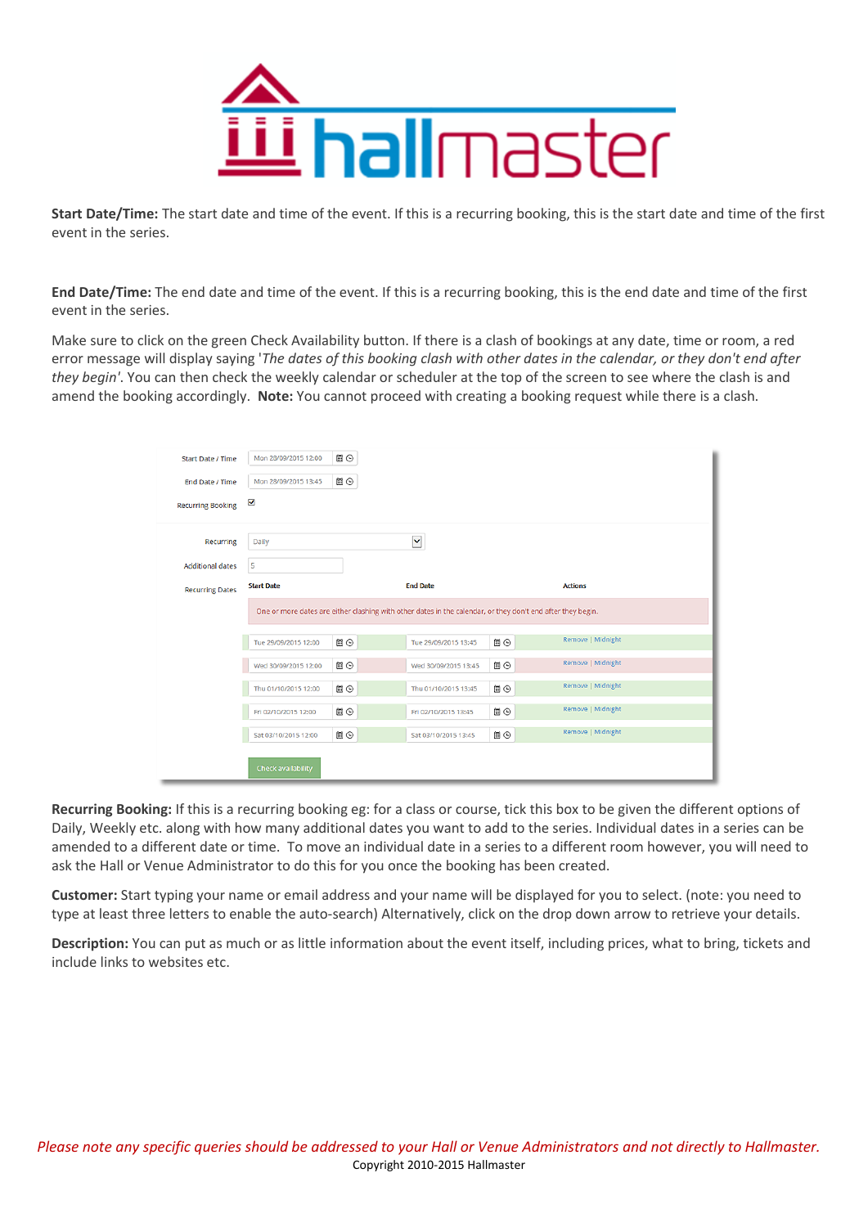

**Start Date/Time:** The start date and time of the event. If this is a recurring booking, this is the start date and time of the first event in the series.

**End Date/Time:** The end date and time of the event. If this is a recurring booking, this is the end date and time of the first event in the series.

Make sure to click on the green Check Availability button. If there is a clash of bookings at any date, time or room, a red error message will display saying '*The dates of this booking clash with other dates in the calendar, or they don't end after they begin'*. You can then check the weekly calendar or scheduler at the top of the screen to see where the clash is and amend the booking accordingly. **Note:** You cannot proceed with creating a booking request while there is a clash.

| <b>Start Date / Time</b> | Mon 28/09/2015 12:00                                                                                        | <b>圖⊙</b> |                      |    |                   |  |  |  |
|--------------------------|-------------------------------------------------------------------------------------------------------------|-----------|----------------------|----|-------------------|--|--|--|
| End Date / Time          | Mon 28/09/2015 13:45                                                                                        | ■⊙        |                      |    |                   |  |  |  |
| <b>Recurring Booking</b> | ✔                                                                                                           |           |                      |    |                   |  |  |  |
| Recurring                | Daily                                                                                                       |           | $\checkmark$         |    |                   |  |  |  |
| <b>Additional dates</b>  | 5                                                                                                           |           |                      |    |                   |  |  |  |
| <b>Recurring Dates</b>   | <b>Start Date</b>                                                                                           |           | <b>End Date</b>      |    | <b>Actions</b>    |  |  |  |
|                          | One or more dates are either clashing with other dates in the calendar, or they don't end after they begin. |           |                      |    |                   |  |  |  |
|                          | Tue 29/09/2015 12:00                                                                                        | 圓⊙        | Tue 29/09/2015 13:45 | ■⊙ | Remove   Midnight |  |  |  |
|                          | Wed 30/09/2015 12:00                                                                                        | ■⊙        | Wed 30/09/2015 13:45 | 圓⊙ | Remove   Midnight |  |  |  |
|                          | Thu 01/10/2015 12:00                                                                                        | ■⊙        | Thu 01/10/2015 13:45 | 圓⊙ | Remove   Midnight |  |  |  |
|                          | Fri 02/10/2015 12:00                                                                                        | <b>■⊙</b> | Fri 02/10/2015 13:45 | ■⊙ | Remove   Midnight |  |  |  |
|                          | Sat 03/10/2015 12:00                                                                                        | ■⊙        | Sat 03/10/2015 13:45 | ■⊙ | Remove   Midnight |  |  |  |
|                          | <b>Check availability</b>                                                                                   |           |                      |    |                   |  |  |  |

**Recurring Booking:** If this is a recurring booking eg: for a class or course, tick this box to be given the different options of Daily, Weekly etc. along with how many additional dates you want to add to the series. Individual dates in a series can be amended to a different date or time. To move an individual date in a series to a different room however, you will need to ask the Hall or Venue Administrator to do this for you once the booking has been created.

**Customer:** Start typing your name or email address and your name will be displayed for you to select. (note: you need to type at least three letters to enable the auto-search) Alternatively, click on the drop down arrow to retrieve your details.

**Description:** You can put as much or as little information about the event itself, including prices, what to bring, tickets and include links to websites etc.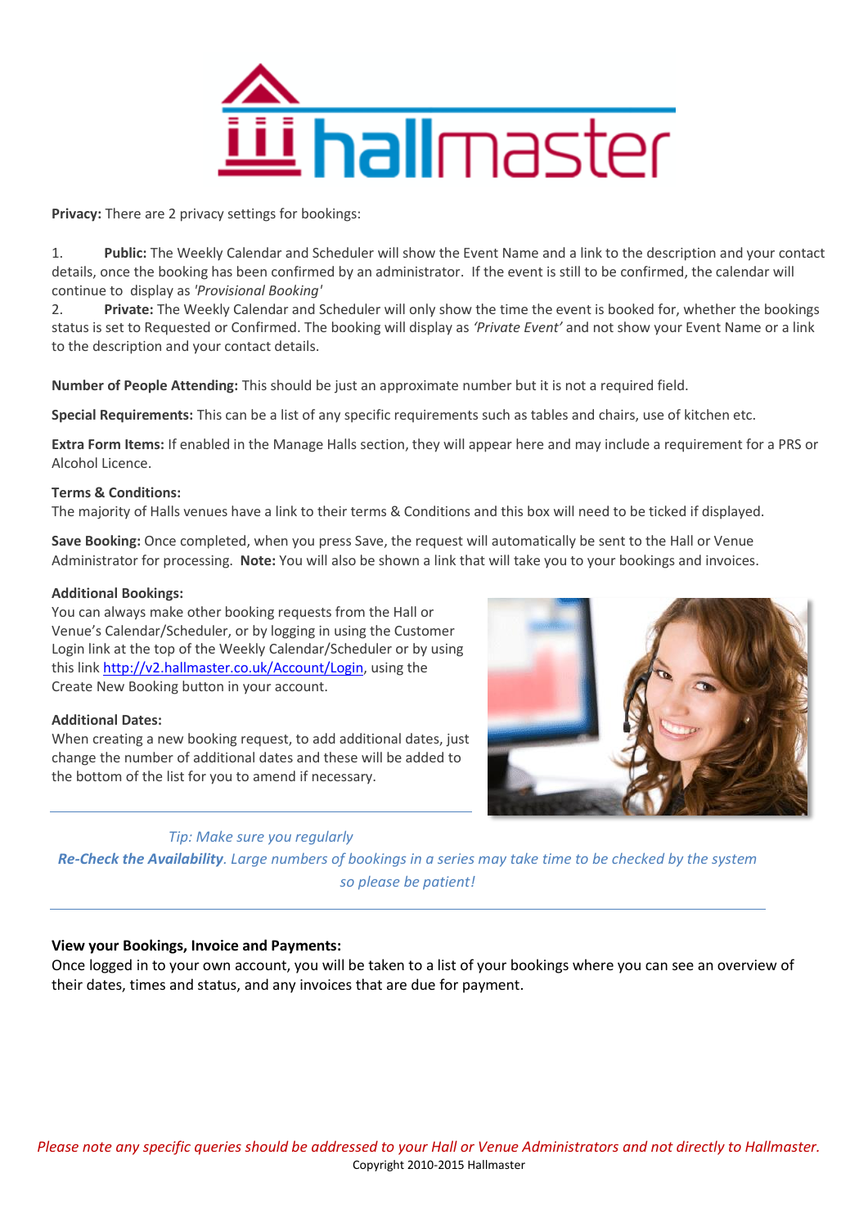

**Privacy:** There are 2 privacy settings for bookings:

1. **Public:** The Weekly Calendar and Scheduler will show the Event Name and a link to the description and your contact details, once the booking has been confirmed by an administrator. If the event is still to be confirmed, the calendar will continue to display as *'Provisional Booking'*

2. **Private:** The Weekly Calendar and Scheduler will only show the time the event is booked for, whether the bookings status is set to Requested or Confirmed. The booking will display as *'Private Event'* and not show your Event Name or a link to the description and your contact details.

**Number of People Attending:** This should be just an approximate number but it is not a required field.

**Special Requirements:** This can be a list of any specific requirements such as tables and chairs, use of kitchen etc.

**Extra Form Items:** If enabled in the Manage Halls section, they will appear here and may include a requirement for a PRS or Alcohol Licence.

## **Terms & Conditions:**

The majority of Halls venues have a link to their terms & Conditions and this box will need to be ticked if displayed.

**Save Booking:** Once completed, when you press Save, the request will automatically be sent to the Hall or Venue Administrator for processing. **Note:** You will also be shown a link that will take you to your bookings and invoices.

## **Additional Bookings:**

You can always make other booking requests from the Hall or Venue's Calendar/Scheduler, or by logging in using the Customer Login link at the top of the Weekly Calendar/Scheduler or by using this link [http://v2.hallmaster.co.uk/Account/Login,](http://v2.hallmaster.co.uk/Account/Login) using the Create New Booking button in your account.

## **Additional Dates:**

When creating a new booking request, to add additional dates, just change the number of additional dates and these will be added to the bottom of the list for you to amend if necessary.



# *Tip: Make sure you regularly*

*Re-Check the Availability. Large numbers of bookings in a series may take time to be checked by the system so please be patient!*

# **View your Bookings, Invoice and Payments:**

Once logged in to your own account, you will be taken to a list of your bookings where you can see an overview of their dates, times and status, and any invoices that are due for payment.